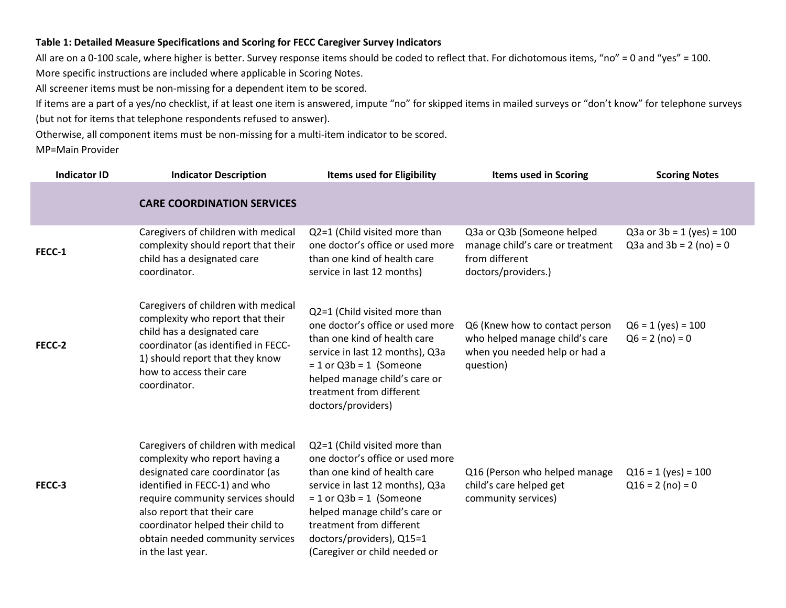#### **Table 1: Detailed Measure Specifications and Scoring for FECC Caregiver Survey Indicators**

All are on a 0-100 scale, where higher is better. Survey response items should be coded to reflect that. For dichotomous items, "no" = 0 and "yes" = 100. More specific instructions are included where applicable in Scoring Notes.

All screener items must be non-missing for a dependent item to be scored.

If items are a part of a yes/no checklist, if at least one item is answered, impute "no" for skipped items in mailed surveys or "don't know" for telephone surveys (but not for items that telephone respondents refused to answer).

Otherwise, all component items must be non-missing for a multi-item indicator to be scored.

MP=Main Provider

| <b>Indicator ID</b> | <b>Indicator Description</b>                                                                                                                                                                                                                                                                                | <b>Items used for Eligibility</b>                                                                                                                                                                                                                                                            | <b>Items used in Scoring</b>                                                                                   | <b>Scoring Notes</b>                                     |
|---------------------|-------------------------------------------------------------------------------------------------------------------------------------------------------------------------------------------------------------------------------------------------------------------------------------------------------------|----------------------------------------------------------------------------------------------------------------------------------------------------------------------------------------------------------------------------------------------------------------------------------------------|----------------------------------------------------------------------------------------------------------------|----------------------------------------------------------|
|                     | <b>CARE COORDINATION SERVICES</b>                                                                                                                                                                                                                                                                           |                                                                                                                                                                                                                                                                                              |                                                                                                                |                                                          |
| FECC-1              | Caregivers of children with medical<br>complexity should report that their<br>child has a designated care<br>coordinator.                                                                                                                                                                                   | Q2=1 (Child visited more than<br>one doctor's office or used more<br>than one kind of health care<br>service in last 12 months)                                                                                                                                                              | Q3a or Q3b (Someone helped<br>manage child's care or treatment<br>from different<br>doctors/providers.)        | Q3a or $3b = 1$ (yes) = 100<br>Q3a and $3b = 2$ (no) = 0 |
| FECC-2              | Caregivers of children with medical<br>complexity who report that their<br>child has a designated care<br>coordinator (as identified in FECC-<br>1) should report that they know<br>how to access their care<br>coordinator.                                                                                | Q2=1 (Child visited more than<br>one doctor's office or used more<br>than one kind of health care<br>service in last 12 months), Q3a<br>$= 1$ or Q3b = 1 (Someone<br>helped manage child's care or<br>treatment from different<br>doctors/providers)                                         | Q6 (Knew how to contact person<br>who helped manage child's care<br>when you needed help or had a<br>question) | $Q6 = 1$ (yes) = 100<br>$Q6 = 2 (no) = 0$                |
| FECC-3              | Caregivers of children with medical<br>complexity who report having a<br>designated care coordinator (as<br>identified in FECC-1) and who<br>require community services should<br>also report that their care<br>coordinator helped their child to<br>obtain needed community services<br>in the last year. | Q2=1 (Child visited more than<br>one doctor's office or used more<br>than one kind of health care<br>service in last 12 months), Q3a<br>$= 1$ or Q3b = 1 (Someone<br>helped manage child's care or<br>treatment from different<br>doctors/providers), Q15=1<br>(Caregiver or child needed or | Q16 (Person who helped manage<br>child's care helped get<br>community services)                                | $Q16 = 1$ (yes) = 100<br>$Q16 = 2 (no) = 0$              |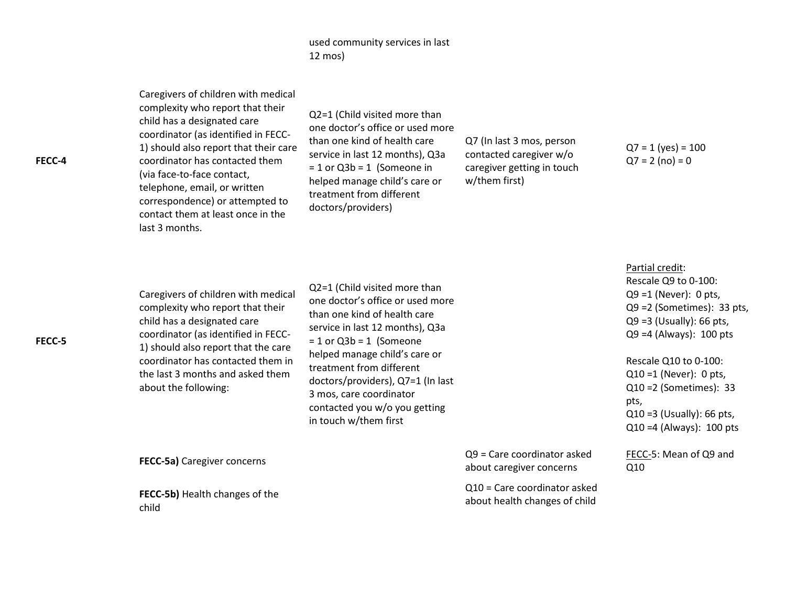# used community services in last 12 mos)

| FECC-4 | Caregivers of children with medical<br>complexity who report that their<br>child has a designated care<br>coordinator (as identified in FECC-<br>1) should also report that their care<br>coordinator has contacted them<br>(via face-to-face contact,<br>telephone, email, or written<br>correspondence) or attempted to<br>contact them at least once in the<br>last 3 months. | Q2=1 (Child visited more than<br>one doctor's office or used more<br>than one kind of health care<br>service in last 12 months), Q3a<br>$= 1$ or Q3b = 1 (Someone in<br>helped manage child's care or<br>treatment from different<br>doctors/providers)                                                                                                  | Q7 (In last 3 mos, person<br>contacted caregiver w/o<br>caregiver getting in touch<br>w/them first) | $Q7 = 1$ (yes) = 100<br>$Q7 = 2 (no) = 0$                                                                                                                                                                                                                                                                                   |
|--------|----------------------------------------------------------------------------------------------------------------------------------------------------------------------------------------------------------------------------------------------------------------------------------------------------------------------------------------------------------------------------------|----------------------------------------------------------------------------------------------------------------------------------------------------------------------------------------------------------------------------------------------------------------------------------------------------------------------------------------------------------|-----------------------------------------------------------------------------------------------------|-----------------------------------------------------------------------------------------------------------------------------------------------------------------------------------------------------------------------------------------------------------------------------------------------------------------------------|
| FECC-5 | Caregivers of children with medical<br>complexity who report that their<br>child has a designated care<br>coordinator (as identified in FECC-<br>1) should also report that the care<br>coordinator has contacted them in<br>the last 3 months and asked them<br>about the following:                                                                                            | Q2=1 (Child visited more than<br>one doctor's office or used more<br>than one kind of health care<br>service in last 12 months), Q3a<br>$= 1$ or Q3b = 1 (Someone<br>helped manage child's care or<br>treatment from different<br>doctors/providers), Q7=1 (In last<br>3 mos, care coordinator<br>contacted you w/o you getting<br>in touch w/them first |                                                                                                     | Partial credit:<br>Rescale Q9 to 0-100:<br>$Q9 = 1$ (Never): 0 pts,<br>$Q9 = 2$ (Sometimes): 33 pts,<br>$Q9 = 3$ (Usually): 66 pts,<br>$Q9 = 4$ (Always): 100 pts<br>Rescale Q10 to 0-100:<br>$Q10 = 1$ (Never): 0 pts,<br>$Q10 = 2$ (Sometimes): 33<br>pts,<br>$Q10 = 3$ (Usually): 66 pts,<br>$Q10 = 4$ (Always): 100 pts |
|        | FECC-5a) Caregiver concerns                                                                                                                                                                                                                                                                                                                                                      |                                                                                                                                                                                                                                                                                                                                                          | $Q9$ = Care coordinator asked<br>about caregiver concerns                                           | FECC-5: Mean of Q9 and<br>Q10                                                                                                                                                                                                                                                                                               |
|        | FECC-5b) Health changes of the<br>child                                                                                                                                                                                                                                                                                                                                          |                                                                                                                                                                                                                                                                                                                                                          | $Q10$ = Care coordinator asked<br>about health changes of child                                     |                                                                                                                                                                                                                                                                                                                             |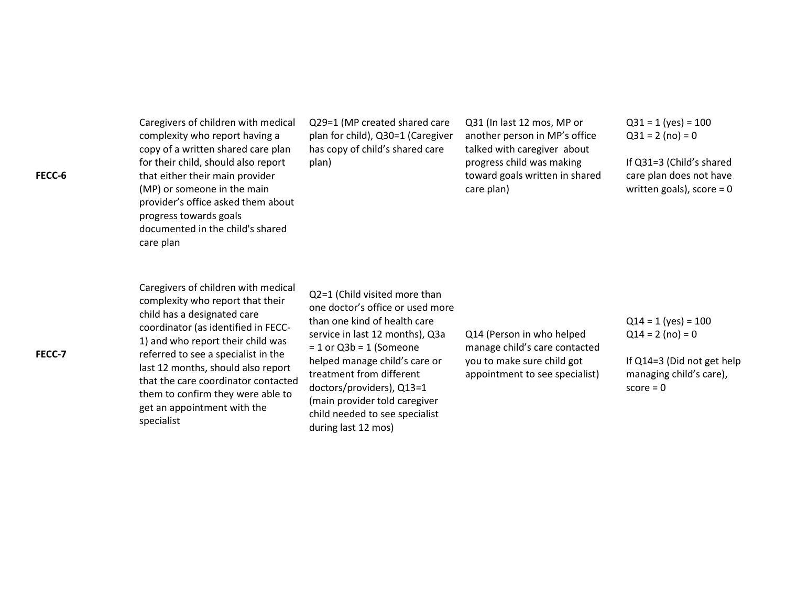Caregivers of children with medical complexity who report having a copy of a written shared care plan for their child, should also report that either their main provider (MP) or someone in the main provider's office asked them about progress towards goals documented in the child's shared care plan

Q29=1 (MP created shared care plan for child), Q30=1 (Caregiver has copy of child's shared care plan)

Q31 (In last 12 mos, MP or another person in MP's office talked with caregiver about progress child was making toward goals written in shared care plan)

 $Q31 = 1$  (yes) = 100  $Q31 = 2 (no) = 0$ 

If Q31=3 (Child's shared care plan does not have written goals), score = 0

Caregivers of children with medical complexity who report that their child has a designated care coordinator (as identified in FECC-1) and who report their child was referred to see a specialist in the last 12 months, should also report that the care coordinator contacted them to confirm they were able to get an appointment with the specialist

Q2=1 (Child visited more than one doctor's office or used more than one kind of health care service in last 12 months), Q3a  $= 1$  or Q3b = 1 (Someone helped manage child's care or treatment from different doctors/providers), Q13=1 (main provider told caregiver child needed to see specialist during last 12 mos)

Q14 (Person in who helped manage child's care contacted you to make sure child got appointment to see specialist)

 $Q14 = 1$  (yes) = 100  $Q14 = 2$  (no) = 0

If Q14=3 (Did not get help managing child's care),  $score = 0$ 

**FECC-7**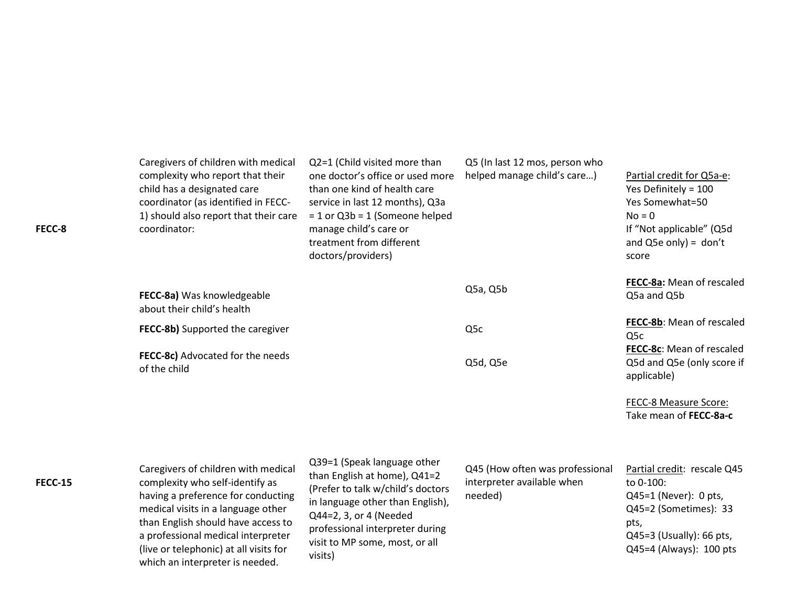| FECC-8         | Caregivers of children with medical<br>complexity who report that their<br>child has a designated care<br>coordinator (as identified in FECC-<br>1) should also report that their care<br>coordinator:                                                                                                      | Q2=1 (Child visited more than<br>one doctor's office or used more<br>than one kind of health care<br>service in last 12 months), Q3a<br>$= 1$ or Q3b = 1 (Someone helped<br>manage child's care or<br>treatment from different<br>doctors/providers) | Q5 (In last 12 mos, person who<br>helped manage child's care)            | Partial credit for Q5a-e:<br>Yes Definitely = 100<br>Yes Somewhat=50<br>$No = 0$<br>If "Not applicable" (Q5d<br>and $Q5e$ only) = don't<br>score              |
|----------------|-------------------------------------------------------------------------------------------------------------------------------------------------------------------------------------------------------------------------------------------------------------------------------------------------------------|------------------------------------------------------------------------------------------------------------------------------------------------------------------------------------------------------------------------------------------------------|--------------------------------------------------------------------------|---------------------------------------------------------------------------------------------------------------------------------------------------------------|
|                | FECC-8a) Was knowledgeable<br>about their child's health                                                                                                                                                                                                                                                    |                                                                                                                                                                                                                                                      | Q5a, Q5b                                                                 | FECC-8a: Mean of rescaled<br>Q5a and Q5b                                                                                                                      |
|                | FECC-8b) Supported the caregiver                                                                                                                                                                                                                                                                            |                                                                                                                                                                                                                                                      | Q <sub>5</sub> c                                                         | FECC-8b: Mean of rescaled<br>Q5c                                                                                                                              |
|                | FECC-8c) Advocated for the needs<br>of the child                                                                                                                                                                                                                                                            |                                                                                                                                                                                                                                                      | Q5d, Q5e                                                                 | FECC-8c: Mean of rescaled<br>Q5d and Q5e (only score if<br>applicable)                                                                                        |
|                |                                                                                                                                                                                                                                                                                                             |                                                                                                                                                                                                                                                      |                                                                          | FECC-8 Measure Score:<br>Take mean of FECC-8a-c                                                                                                               |
| <b>FECC-15</b> | Caregivers of children with medical<br>complexity who self-identify as<br>having a preference for conducting<br>medical visits in a language other<br>than English should have access to<br>a professional medical interpreter<br>(live or telephonic) at all visits for<br>which an interpreter is needed. | Q39=1 (Speak language other<br>than English at home), Q41=2<br>(Prefer to talk w/child's doctors<br>in language other than English),<br>Q44=2, 3, or 4 (Needed<br>professional interpreter during<br>visit to MP some, most, or all<br>visits)       | Q45 (How often was professional<br>interpreter available when<br>needed) | Partial credit: rescale Q45<br>to 0-100:<br>$Q45=1$ (Never): 0 pts,<br>Q45=2 (Sometimes): 33<br>pts,<br>$Q45=3$ (Usually): 66 pts,<br>Q45=4 (Always): 100 pts |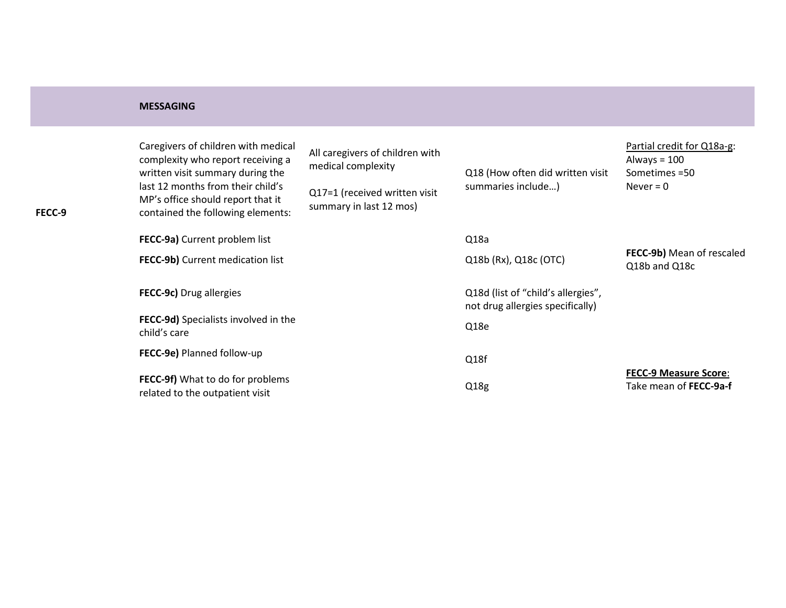### **MESSAGING**

| FECC-9 | Caregivers of children with medical<br>complexity who report receiving a<br>written visit summary during the<br>last 12 months from their child's<br>MP's office should report that it<br>contained the following elements: | All caregivers of children with<br>medical complexity<br>Q17=1 (received written visit<br>summary in last 12 mos) | Q18 (How often did written visit<br>summaries include)                 | Partial credit for Q18a-g:<br>Always = $100$<br>Sometimes = 50<br>Never $= 0$ |
|--------|-----------------------------------------------------------------------------------------------------------------------------------------------------------------------------------------------------------------------------|-------------------------------------------------------------------------------------------------------------------|------------------------------------------------------------------------|-------------------------------------------------------------------------------|
|        | FECC-9a) Current problem list                                                                                                                                                                                               |                                                                                                                   | Q18a                                                                   |                                                                               |
|        | FECC-9b) Current medication list                                                                                                                                                                                            |                                                                                                                   | Q18b (Rx), Q18c (OTC)                                                  | FECC-9b) Mean of rescaled<br>Q18b and Q18c                                    |
|        | FECC-9c) Drug allergies                                                                                                                                                                                                     |                                                                                                                   | Q18d (list of "child's allergies",<br>not drug allergies specifically) |                                                                               |
|        | <b>FECC-9d)</b> Specialists involved in the<br>child's care                                                                                                                                                                 |                                                                                                                   | Q18e                                                                   |                                                                               |
|        | FECC-9e) Planned follow-up                                                                                                                                                                                                  |                                                                                                                   | Q18f                                                                   |                                                                               |
|        | FECC-9f) What to do for problems<br>related to the outpatient visit                                                                                                                                                         |                                                                                                                   | Q18g                                                                   | <b>FECC-9 Measure Score:</b><br>Take mean of FECC-9a-f                        |
|        |                                                                                                                                                                                                                             |                                                                                                                   |                                                                        |                                                                               |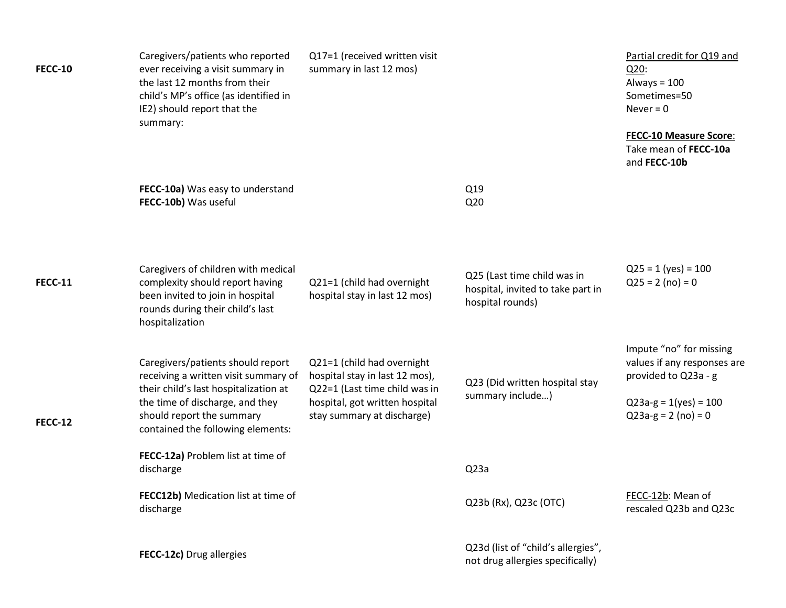| <b>FECC-10</b> | Caregivers/patients who reported<br>ever receiving a visit summary in<br>the last 12 months from their<br>child's MP's office (as identified in<br>IE2) should report that the<br>summary:                              | Q17=1 (received written visit<br>summary in last 12 mos)                                                                                                      |                                                                                      | Partial credit for Q19 and<br>Q20:<br>Always = $100$<br>Sometimes=50<br>Never = $0$<br><b>FECC-10 Measure Score:</b><br>Take mean of FECC-10a<br>and FECC-10b |
|----------------|-------------------------------------------------------------------------------------------------------------------------------------------------------------------------------------------------------------------------|---------------------------------------------------------------------------------------------------------------------------------------------------------------|--------------------------------------------------------------------------------------|---------------------------------------------------------------------------------------------------------------------------------------------------------------|
|                | FECC-10a) Was easy to understand<br>FECC-10b) Was useful                                                                                                                                                                |                                                                                                                                                               | Q19<br>Q <sub>20</sub>                                                               |                                                                                                                                                               |
| <b>FECC-11</b> | Caregivers of children with medical<br>complexity should report having<br>been invited to join in hospital<br>rounds during their child's last<br>hospitalization                                                       | Q21=1 (child had overnight<br>hospital stay in last 12 mos)                                                                                                   | Q25 (Last time child was in<br>hospital, invited to take part in<br>hospital rounds) | $Q25 = 1$ (yes) = 100<br>$Q25 = 2 (no) = 0$                                                                                                                   |
| <b>FECC-12</b> | Caregivers/patients should report<br>receiving a written visit summary of<br>their child's last hospitalization at<br>the time of discharge, and they<br>should report the summary<br>contained the following elements: | Q21=1 (child had overnight<br>hospital stay in last 12 mos),<br>Q22=1 (Last time child was in<br>hospital, got written hospital<br>stay summary at discharge) | Q23 (Did written hospital stay<br>summary include)                                   | Impute "no" for missing<br>values if any responses are<br>provided to Q23a - g<br>$Q23a-g = 1(yes) = 100$<br>$Q23a-g = 2 (no) = 0$                            |
|                | FECC-12a) Problem list at time of<br>discharge                                                                                                                                                                          |                                                                                                                                                               | Q <sub>23a</sub>                                                                     |                                                                                                                                                               |
|                | FECC12b) Medication list at time of<br>discharge                                                                                                                                                                        |                                                                                                                                                               | Q23b (Rx), Q23c (OTC)                                                                | FECC-12b: Mean of<br>rescaled Q23b and Q23c                                                                                                                   |
|                | FECC-12c) Drug allergies                                                                                                                                                                                                |                                                                                                                                                               | Q23d (list of "child's allergies",<br>not drug allergies specifically)               |                                                                                                                                                               |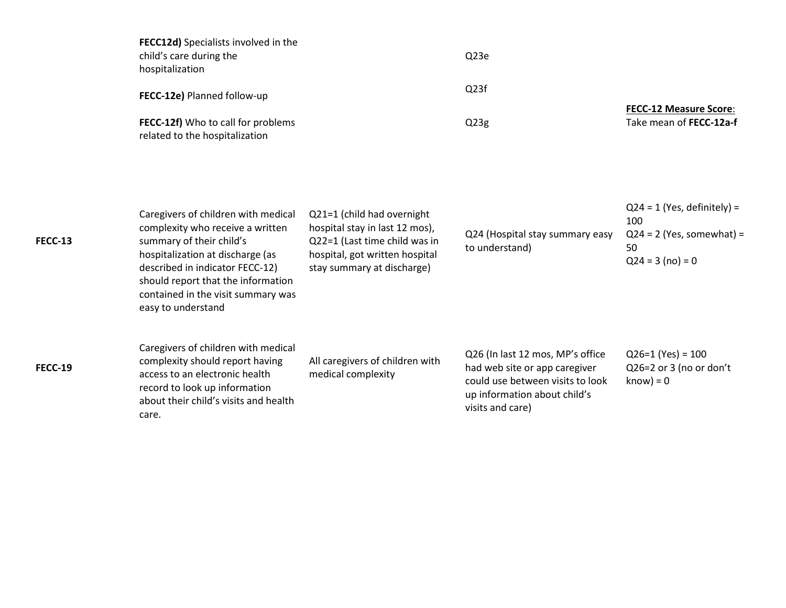| <b>FECC12d)</b> Specialists involved in the |                   |                               |
|---------------------------------------------|-------------------|-------------------------------|
| child's care during the                     | Q <sub>23e</sub>  |                               |
| hospitalization                             |                   |                               |
| FECC-12e) Planned follow-up                 | Q <sub>23</sub> f |                               |
|                                             |                   | <b>FECC-12 Measure Score:</b> |
| FECC-12f) Who to call for problems          | Q <sub>23g</sub>  | Take mean of FECC-12a-f       |
| related to the hospitalization              |                   |                               |
|                                             |                   |                               |

| <b>FECC-13</b> | Caregivers of children with medical<br>complexity who receive a written<br>summary of their child's<br>hospitalization at discharge (as<br>described in indicator FECC-12)<br>should report that the information<br>contained in the visit summary was<br>easy to understand | Q21=1 (child had overnight<br>hospital stay in last 12 mos),<br>Q22=1 (Last time child was in<br>hospital, got written hospital<br>stay summary at discharge) | Q24 (Hospital stay summary easy<br>to understand)                                                                                                         | $Q24 = 1$ (Yes, definitely) =<br>100<br>$Q24 = 2$ (Yes, somewhat) =<br>50<br>$Q24 = 3 (no) = 0$ |
|----------------|------------------------------------------------------------------------------------------------------------------------------------------------------------------------------------------------------------------------------------------------------------------------------|---------------------------------------------------------------------------------------------------------------------------------------------------------------|-----------------------------------------------------------------------------------------------------------------------------------------------------------|-------------------------------------------------------------------------------------------------|
| <b>FECC-19</b> | Caregivers of children with medical<br>complexity should report having<br>access to an electronic health<br>record to look up information<br>about their child's visits and health<br>care.                                                                                  | All caregivers of children with<br>medical complexity                                                                                                         | Q26 (In last 12 mos, MP's office<br>had web site or app caregiver<br>could use between visits to look<br>up information about child's<br>visits and care) | $Q26=1$ (Yes) = 100<br>Q26=2 or 3 (no or don't<br>$know) = 0$                                   |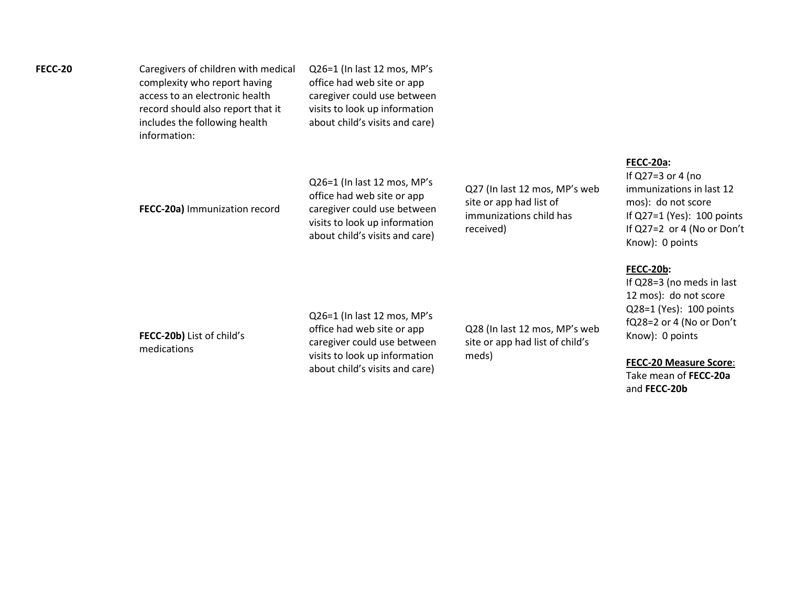| FECC-20 | Caregivers of children with medical<br>complexity who report having<br>access to an electronic health<br>record should also report that it<br>includes the following health<br>information: | Q26=1 (In last 12 mos, MP's<br>office had web site or app<br>caregiver could use between<br>visits to look up information<br>about child's visits and care) |                                                          |                                                       |
|---------|---------------------------------------------------------------------------------------------------------------------------------------------------------------------------------------------|-------------------------------------------------------------------------------------------------------------------------------------------------------------|----------------------------------------------------------|-------------------------------------------------------|
|         |                                                                                                                                                                                             | Q26=1 (In last 12 mos, MP's<br>office had web site or app                                                                                                   | Q27 (In last 12 mos, MP's web<br>cito or ann had list of | FECC-20a:<br>If $Q27=3$ o<br>immunizat<br>$m \circ c$ |

**FECC-20b)** List of child's medications

**FECC-20a)** Immunization record

Q26=1 (In last 12 mos, MP's office had web site or app caregiver could use between visits to look up information about child's visits and care)

caregiver could use between visits to look up information about child's visits and care)

site or app had list of immunizations child has received)

Q28 (In last 12 mos, MP's web site or app had list of child's

meds)

or 4 (no tions in last 12 mos): do not score If Q27=1 (Yes): 100 points If Q27=2 or 4 (No or Don't Know): 0 points

## **FECC-20b:**

If Q28=3 (no meds in last 12 mos): do not score Q28=1 (Yes): 100 points fQ28=2 or 4 (No or Don't Know): 0 points

#### **FECC-20 Measure Score**:

Take mean of **FECC-20a**  and **FECC-20b**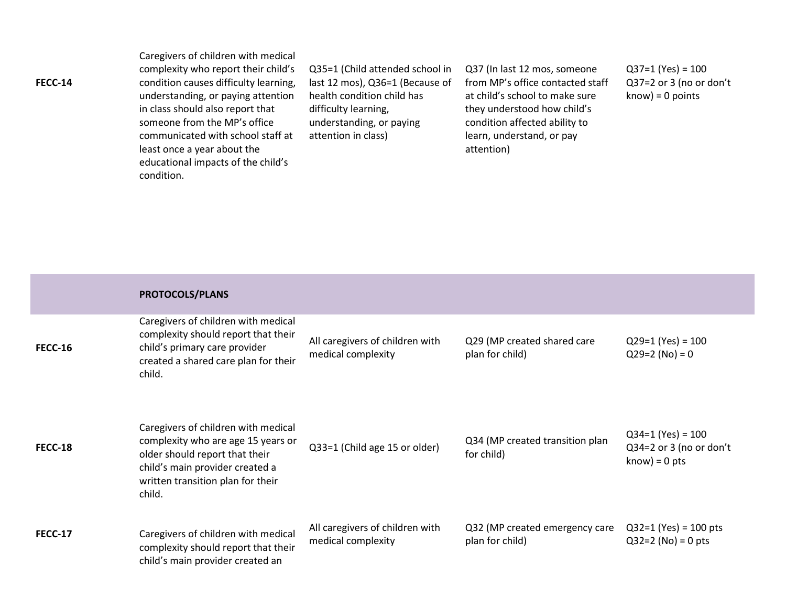Caregivers of children with medical complexity who report their child's condition causes difficulty learning, understanding, or paying attention in class should also report that someone from the MP's office communicated with school staff at least once a year about the educational impacts of the child's condition.

Q35=1 (Child attended school in last 12 mos), Q36=1 (Because of health condition child has difficulty learning, understanding, or paying attention in class)

Q37 (In last 12 mos, someone from MP's office contacted staff at child's school to make sure they understood how child's condition affected ability to learn, understand, or pay attention)

 $Q37=1$  (Yes) = 100 Q37=2 or 3 (no or don't know) = 0 points

|                | PROTOCOLS/PLANS                                                                                                                                                                               |                                                       |                                                   |                                                                   |
|----------------|-----------------------------------------------------------------------------------------------------------------------------------------------------------------------------------------------|-------------------------------------------------------|---------------------------------------------------|-------------------------------------------------------------------|
| <b>FECC-16</b> | Caregivers of children with medical<br>complexity should report that their<br>child's primary care provider<br>created a shared care plan for their<br>child.                                 | All caregivers of children with<br>medical complexity | Q29 (MP created shared care<br>plan for child)    | $Q29=1$ (Yes) = 100<br>$Q29=2 (No) = 0$                           |
| <b>FECC-18</b> | Caregivers of children with medical<br>complexity who are age 15 years or<br>older should report that their<br>child's main provider created a<br>written transition plan for their<br>child. | Q33=1 (Child age 15 or older)                         | Q34 (MP created transition plan<br>for child)     | $Q34=1$ (Yes) = 100<br>Q34=2 or 3 (no or don't<br>$know) = 0 pts$ |
| <b>FECC-17</b> | Caregivers of children with medical<br>complexity should report that their<br>child's main provider created an                                                                                | All caregivers of children with<br>medical complexity | Q32 (MP created emergency care<br>plan for child) | $Q32=1$ (Yes) = 100 pts<br>$Q32=2$ (No) = 0 pts                   |

### **FECC-14**